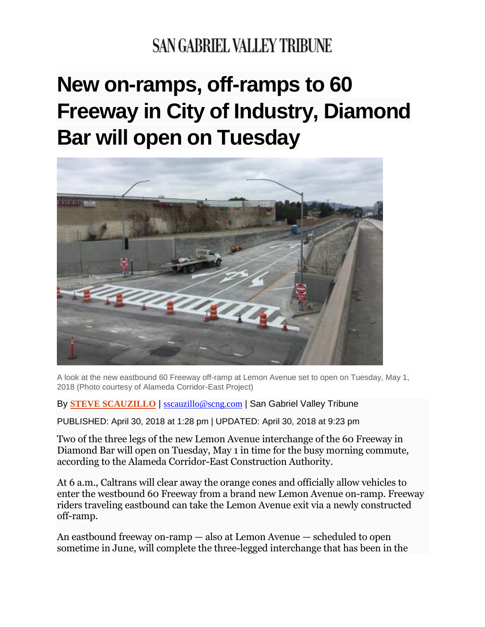## **SAN GABRIEL VALLEY TRIBUNE**

## **New on-ramps, off-ramps to 60 Freeway in City of Industry, Diamond Bar will open on Tuesday**



A look at the new eastbound 60 Freeway off-ramp at Lemon Avenue set to open on Tuesday, May 1, 2018 (Photo courtesy of Alameda Corridor-East Project)

By **STEVE [SCAUZILLO](https://www.sgvtribune.com/author/steve-scauzillo/)** | [sscauzillo@scng.com](mailto:sscauzillo@scng.com) | San Gabriel Valley Tribune

PUBLISHED: April 30, 2018 at 1:28 pm | UPDATED: April 30, 2018 at 9:23 pm

Two of the three legs of the new Lemon Avenue interchange of the 60 Freeway in Diamond Bar will open on Tuesday, May 1 in time for the busy morning commute, according to the Alameda Corridor-East Construction Authority.

At 6 a.m., Caltrans will clear away the orange cones and officially allow vehicles to enter the westbound 60 Freeway from a brand new Lemon Avenue on-ramp. Freeway riders traveling eastbound can take the Lemon Avenue exit via a newly constructed off-ramp.

An eastbound freeway on-ramp — also at Lemon Avenue — scheduled to open sometime in June, will complete the three-legged interchange that has been in the